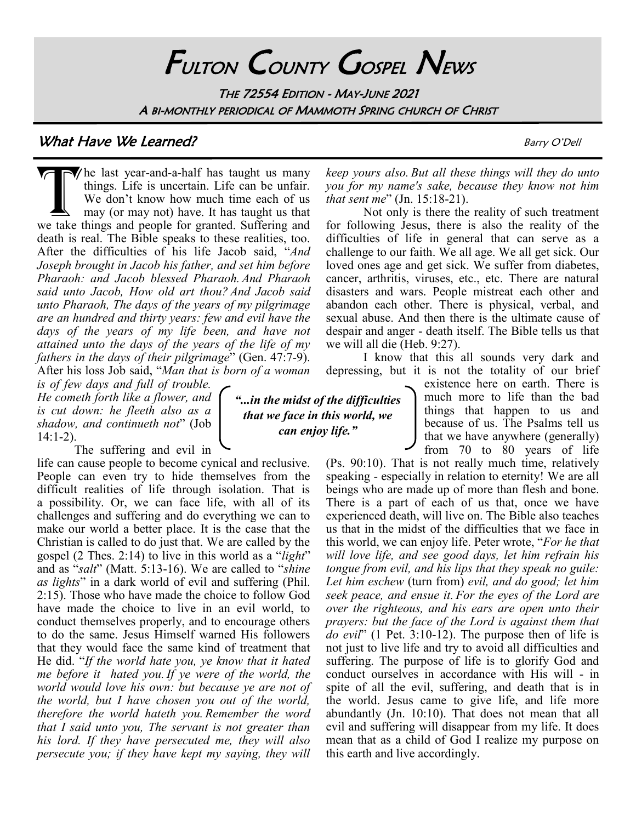# FULTON COUNTY GOSPEL NEWS

THE 72554 EDITION - MAY-JUNE 2021 A BI-MONTHLY PERIODICAL OF MAMMOTH SPRING CHURCH OF CHRIST

### What Have We Learned? **Barry O'Dell** Barry O'Dell

The last year-and-a-half has taught us many things. Life is uncertain. Life can be unfair. We don't know how much time each of us may (or may not) have. It has taught us that we take things and people for granted. Sufferin  $\sqrt{\ }$ he last year-and-a-half has taught us many things. Life is uncertain. Life can be unfair. We don't know how much time each of us may (or may not) have. It has taught us that death is real. The Bible speaks to these realities, too. After the difficulties of his life Jacob said, "*And Joseph brought in Jacob his father, and set him before Pharaoh: and Jacob blessed Pharaoh. And Pharaoh said unto Jacob, How old art thou? And Jacob said unto Pharaoh, The days of the years of my pilgrimage are an hundred and thirty years: few and evil have the days of the years of my life been, and have not attained unto the days of the years of the life of my fathers in the days of their pilgrimage*" (Gen. 47:7-9). After his loss Job said, "*Man that is born of a woman* 

*is of few days and full of trouble. He cometh forth like a flower, and is cut down: he fleeth also as a shadow, and continueth not*" (Job 14:1-2).

The suffering and evil in

life can cause people to become cynical and reclusive. People can even try to hide themselves from the difficult realities of life through isolation. That is a possibility. Or, we can face life, with all of its challenges and suffering and do everything we can to make our world a better place. It is the case that the Christian is called to do just that. We are called by the gospel (2 Thes. 2:14) to live in this world as a "*light*" and as "*salt*" (Matt. 5:13-16). We are called to "*shine as lights*" in a dark world of evil and suffering (Phil. 2:15). Those who have made the choice to follow God have made the choice to live in an evil world, to conduct themselves properly, and to encourage others to do the same. Jesus Himself warned His followers that they would face the same kind of treatment that He did. "*If the world hate you, ye know that it hated me before it hated you. If ye were of the world, the world would love his own: but because ye are not of the world, but I have chosen you out of the world, therefore the world hateth you. Remember the word that I said unto you, The servant is not greater than his lord. If they have persecuted me, they will also persecute you; if they have kept my saying, they will* 

*"...in the midst of the difficulties that we face in this world, we can enjoy life."*

*keep yours also. But all these things will they do unto you for my name's sake, because they know not him that sent me*" (Jn. 15:18-21).

Not only is there the reality of such treatment for following Jesus, there is also the reality of the difficulties of life in general that can serve as a challenge to our faith. We all age. We all get sick. Our loved ones age and get sick. We suffer from diabetes, cancer, arthritis, viruses, etc., etc. There are natural disasters and wars. People mistreat each other and abandon each other. There is physical, verbal, and sexual abuse. And then there is the ultimate cause of despair and anger - death itself. The Bible tells us that we will all die (Heb. 9:27).

I know that this all sounds very dark and depressing, but it is not the totality of our brief

existence here on earth. There is much more to life than the bad things that happen to us and because of us. The Psalms tell us that we have anywhere (generally) from 70 to 80 years of life

(Ps. 90:10). That is not really much time, relatively speaking - especially in relation to eternity! We are all beings who are made up of more than flesh and bone. There is a part of each of us that, once we have experienced death, will live on. The Bible also teaches us that in the midst of the difficulties that we face in this world, we can enjoy life. Peter wrote, "*For he that will love life, and see good days, let him refrain his tongue from evil, and his lips that they speak no guile: Let him eschew* (turn from) *evil, and do good; let him seek peace, and ensue it. For the eyes of the Lord are over the righteous, and his ears are open unto their prayers: but the face of the Lord is against them that do evil*" (1 Pet. 3:10-12). The purpose then of life is not just to live life and try to avoid all difficulties and suffering. The purpose of life is to glorify God and conduct ourselves in accordance with His will - in spite of all the evil, suffering, and death that is in the world. Jesus came to give life, and life more abundantly (Jn. 10:10). That does not mean that all evil and suffering will disappear from my life. It does mean that as a child of God I realize my purpose on this earth and live accordingly.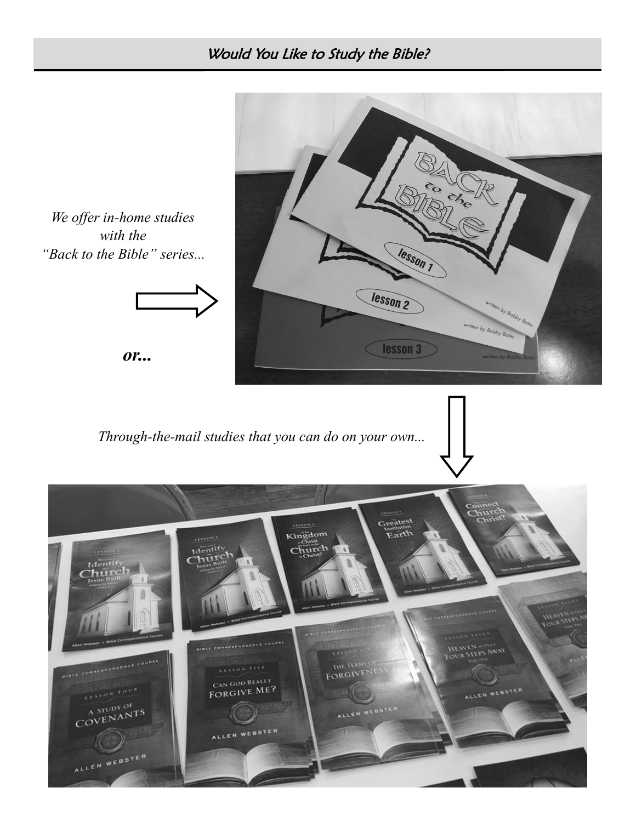## Would You Like to Study the Bible?

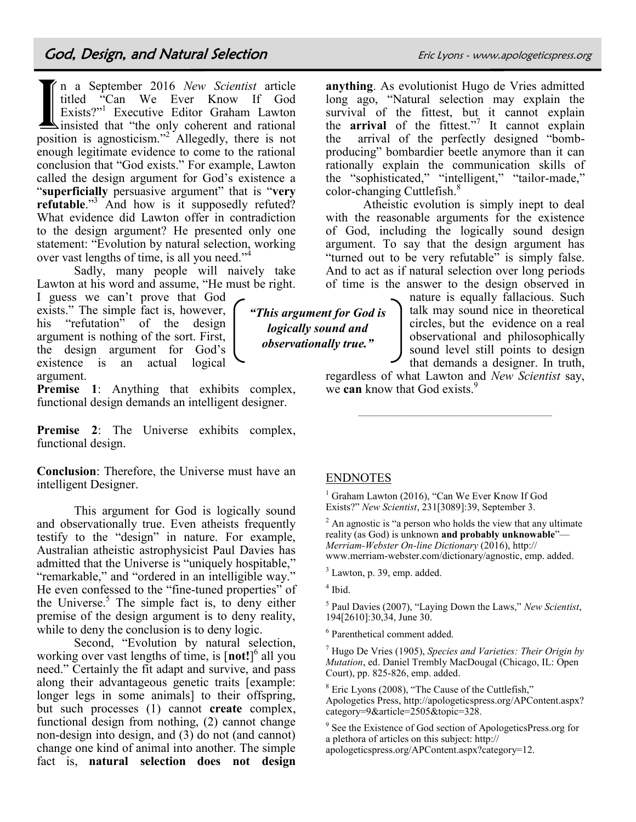<u>I</u> n a September 2016 *New Scientist* article titled "Can We Ever Know If God Exists?"<sup>1</sup> Executive Editor Graham Lawton insisted that "the only coherent and rational position is agnosticism."<sup>2</sup> Allegedly, there is not enough legitimate evidence to come to the rational conclusion that "God exists." For example, Lawton called the design argument for God's existence a "**superficially** persuasive argument" that is "**very refutable**."<sup>3</sup> And how is it supposedly refuted? What evidence did Lawton offer in contradiction to the design argument? He presented only one statement: "Evolution by natural selection, working over vast lengths of time, is all you need."<sup>4</sup>

Sadly, many people will naively take Lawton at his word and assume, "He must be right.

I guess we can't prove that God exists." The simple fact is, however, his "refutation" of the design argument is nothing of the sort. First, the design argument for God's existence is an actual logical argument.

**Premise 1**: Anything that exhibits complex, functional design demands an intelligent designer.

Premise 2: The Universe exhibits complex, functional design.

**Conclusion**: Therefore, the Universe must have an intelligent Designer.

This argument for God is logically sound and observationally true. Even atheists frequently testify to the "design" in nature. For example, Australian atheistic astrophysicist Paul Davies has admitted that the Universe is "uniquely hospitable," "remarkable," and "ordered in an intelligible way." He even confessed to the "fine-tuned properties" of the Universe. $5$  The simple fact is, to deny either premise of the design argument is to deny reality, while to deny the conclusion is to deny logic.

Second, "Evolution by natural selection, working over vast lengths of time, is [**not!**] 6 all you need." Certainly the fit adapt and survive, and pass along their advantageous genetic traits [example: longer legs in some animals] to their offspring, but such processes (1) cannot **create** complex, functional design from nothing, (2) cannot change non-design into design, and (3) do not (and cannot) change one kind of animal into another. The simple fact is, **natural selection does not design** 

**anything**. As evolutionist Hugo de Vries admitted long ago, "Natural selection may explain the survival of the fittest, but it cannot explain the **arrival** of the fittest."<sup>7</sup> It cannot explain the arrival of the perfectly designed "bombproducing" bombardier beetle anymore than it can rationally explain the communication skills of the "sophisticated," "intelligent," "tailor-made," color-changing Cuttlefish.<sup>8</sup>

Atheistic evolution is simply inept to deal with the reasonable arguments for the existence of God, including the logically sound design argument. To say that the design argument has "turned out to be very refutable" is simply false. And to act as if natural selection over long periods of time is the answer to the design observed in

nature is equally fallacious. Such talk may sound nice in theoretical circles, but the evidence on a real observational and philosophically sound level still points to design that demands a designer. In truth,

regardless of what Lawton and *New Scientist* say, we **can** know that God exists.<sup>9</sup>

#### ENDNOTES

 $<sup>1</sup>$  Graham Lawton (2016), "Can We Ever Know If God</sup> Exists?" *New Scientist*, 231[3089]:39, September 3.

 $2$  An agnostic is "a person who holds the view that any ultimate reality (as God) is unknown **and probably unknowable**"— *Merriam-Webster On-line Dictionary* (2016), http:// www.merriam-webster.com/dictionary/agnostic, emp. added.

 $3$  Lawton, p. 39, emp. added.

4 Ibid.

5 Paul Davies (2007), "Laying Down the Laws," *New Scientist*, 194[2610]:30,34, June 30.

<sup>6</sup> Parenthetical comment added.

<sup>7</sup> Hugo De Vries (1905), *Species and Varieties: Their Origin by Mutation*, ed. Daniel Trembly MacDougal (Chicago, IL: Open Court), pp. 825-826, emp. added.

 $8$  Eric Lyons (2008), "The Cause of the Cuttlefish," Apologetics Press, http://apologeticspress.org/APContent.aspx? category=9&article=2505&topic=328.

<sup>9</sup> See the Existence of God section of ApologeticsPress.org for a plethora of articles on this subject: http://

apologeticspress.org/APContent.aspx?category=12.

*"This argument for God is logically sound and observationally true."*